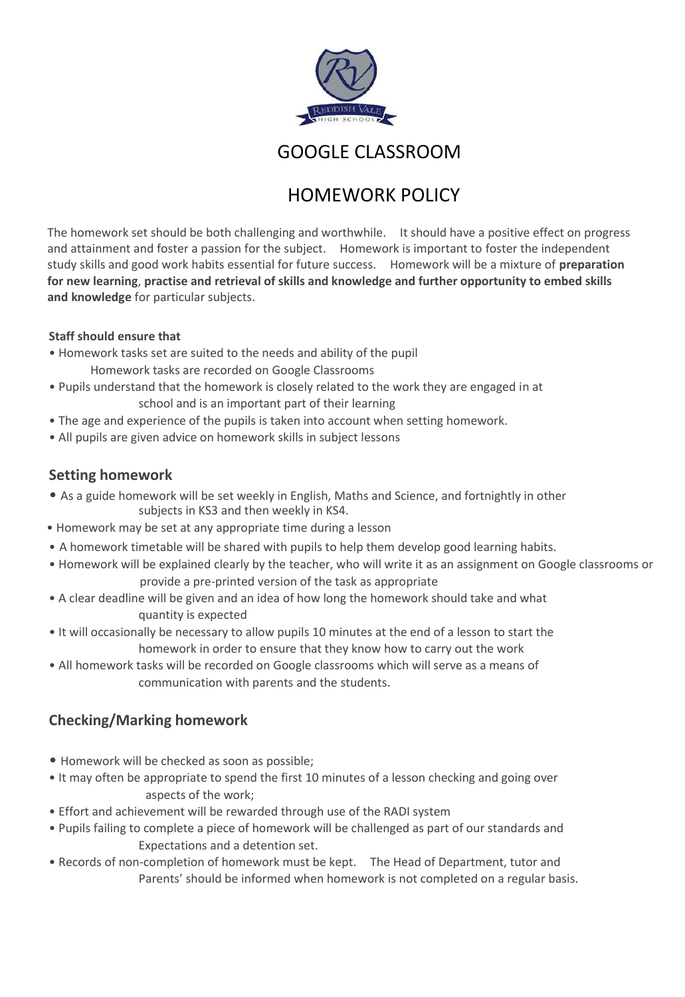

GOOGLE CLASSROOM

# HOMEWORK POLICY

The homework set should be both challenging and worthwhile. It should have a positive effect on progress and attainment and foster a passion for the subject. Homework is important to foster the independent study skills and good work habits essential for future success. Homework will be a mixture of **preparation for new learning**, **practise and retrieval of skills and knowledge and further opportunity to embed skills and knowledge** for particular subjects.

#### **Staff should ensure that**

- Homework tasks set are suited to the needs and ability of the pupil Homework tasks are recorded on Google Classrooms
- Pupils understand that the homework is closely related to the work they are engaged in at school and is an important part of their learning
- The age and experience of the pupils is taken into account when setting homework.
- All pupils are given advice on homework skills in subject lessons

### **Setting homework**

- As a guide homework will be set weekly in English, Maths and Science, and fortnightly in other subjects in KS3 and then weekly in KS4.
- Homework may be set at any appropriate time during a lesson
- A homework timetable will be shared with pupils to help them develop good learning habits.
- provide a pre-printed version of the task as appropriate • Homework will be explained clearly by the teacher, who will write it as an assignment on Google classrooms or
- A clear deadline will be given and an idea of how long the homework should take and what quantity is expected
- It will occasionally be necessary to allow pupils 10 minutes at the end of a lesson to start the homework in order to ensure that they know how to carry out the work
- All homework tasks will be recorded on Google classrooms which will serve as a means of communication with parents and the students.

## **Checking/Marking homework**

- Homework will be checked as soon as possible;
- It may often be appropriate to spend the first 10 minutes of a lesson checking and going over aspects of the work;
- Effort and achievement will be rewarded through use of the RADI system
- Pupils failing to complete a piece of homework will be challenged as part of our standards and Expectations and a detention set.
- Records of non-completion of homework must be kept. The Head of Department, tutor and Parents' should be informed when homework is not completed on a regular basis.